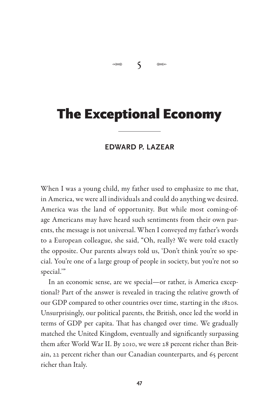$\Longleftrightarrow$  $5 \qquad \Rightarrow$ 

# The Exceptional Economy

# **EDWARD P. LAZEAR**

When I was a young child, my father used to emphasize to me that, in America, we were all individuals and could do anything we desired. America was the land of opportunity. But while most coming-ofage Americans may have heard such sentiments from their own parents, the message is not universal. When I conveyed my father's words to a European colleague, she said, "Oh, really? We were told exactly the opposite. Our parents always told us, 'Don't think you're so special. You're one of a large group of people in society, but you're not so special.'"

In an economic sense, are we special—or rather, is America exceptional? Part of the answer is revealed in tracing the relative growth of our GDP compared to other countries over time, starting in the 1820s. Unsurprisingly, our political parents, the British, once led the world in terms of GDP per capita. That has changed over time. We gradually matched the United Kingdom, eventually and significantly surpassing them after World War II. By 2010, we were 28 percent richer than Britain, 22 percent richer than our Canadian counterparts, and 65 percent richer than Italy.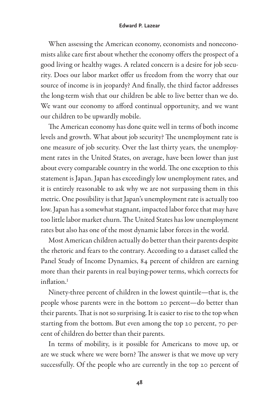## **Edward P. Lazear**

When assessing the American economy, economists and noneconomists alike care first about whether the economy offers the prospect of a good living or healthy wages. A related concern is a desire for job security. Does our labor market offer us freedom from the worry that our source of income is in jeopardy? And finally, the third factor addresses the long- term wish that our children be able to live better than we do. We want our economy to afford continual opportunity, and we want our children to be upwardly mobile.

The American economy has done quite well in terms of both income levels and growth. What about job security? The unemployment rate is one measure of job security. Over the last thirty years, the unemployment rates in the United States, on average, have been lower than just about every comparable country in the world. The one exception to this statement is Japan. Japan has exceedingly low unemployment rates, and it is entirely reasonable to ask why we are not surpassing them in this metric. One possibility is that Japan's unemployment rate is actually too low. Japan has a somewhat stagnant, impacted labor force that may have too little labor market churn. The United States has low unemployment rates but also has one of the most dynamic labor forces in the world.

Most American children actually do better than their parents despite the rhetoric and fears to the contrary. According to a dataset called the Panel Study of Income Dynamics, 84 percent of children are earning more than their parents in real buying- power terms, which corrects for  $in$ flation.<sup>1</sup>

Ninety- three percent of children in the lowest quintile—that is, the people whose parents were in the bottom 20 percent—do better than their parents. That is not so surprising. It is easier to rise to the top when starting from the bottom. But even among the top 20 percent, 70 percent of children do better than their parents.

In terms of mobility, is it possible for Americans to move up, or are we stuck where we were born? The answer is that we move up very successfully. Of the people who are currently in the top 20 percent of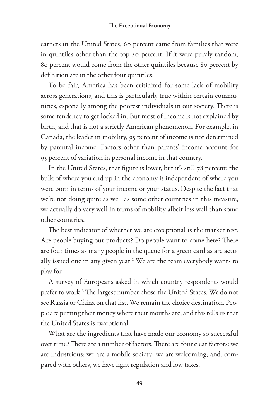earners in the United States, 60 percent came from families that were in quintiles other than the top 20 percent. If it were purely random, 80 percent would come from the other quintiles because 80 percent by definition are in the other four quintiles.

To be fair, America has been criticized for some lack of mobility across generations, and this is particularly true within certain communities, especially among the poorest individuals in our society. There is some tendency to get locked in. But most of income is not explained by birth, and that is not a strictly American phenomenon. For example, in Canada, the leader in mobility, 95 percent of income is not determined by parental income. Factors other than parents' income account for 95 percent of variation in personal income in that country.

In the United States, that figure is lower, but it's still 78 percent: the bulk of where you end up in the economy is independent of where you were born in terms of your income or your status. Despite the fact that we're not doing quite as well as some other countries in this measure, we actually do very well in terms of mobility albeit less well than some other countries.

The best indicator of whether we are exceptional is the market test. Are people buying our products? Do people want to come here? There are four times as many people in the queue for a green card as are actually issued one in any given year.2 We are the team everybody wants to play for.

A survey of Europeans asked in which country respondents would prefer to work.<sup>3</sup> The largest number chose the United States. We do not see Russia or China on that list. We remain the choice destination. People are putting their money where their mouths are, and this tells us that the United States is exceptional.

What are the ingredients that have made our economy so successful over time? There are a number of factors. There are four clear factors: we are industrious; we are a mobile society; we are welcoming; and, compared with others, we have light regulation and low taxes.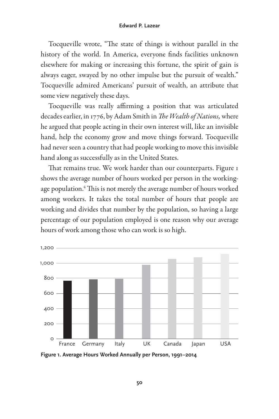## **Edward P. Lazear**

Tocqueville wrote, "The state of things is without parallel in the history of the world. In America, everyone finds facilities unknown elsewhere for making or increasing this fortune, the spirit of gain is always eager, swayed by no other impulse but the pursuit of wealth." Tocqueville admired Americans' pursuit of wealth, an attribute that some view negatively these days.

Tocqueville was really affirming a position that was articulated decades earlier, in 1776, by Adam Smith in *The Wealth of Nations*, where he argued that people acting in their own interest will, like an invisible hand, help the economy grow and move things forward. Tocqueville had never seen a country that had people working to move this invisible hand along as successfully as in the United States.

That remains true. We work harder than our counterparts. Figure 1 shows the average number of hours worked per person in the workingage population.<sup>4</sup> This is not merely the average number of hours worked among workers. It takes the total number of hours that people are working and divides that number by the population, so having a large percentage of our population employed is one reason why our average hours of work among those who can work is so high.



**Figure 1. Average Hours Worked Annually per Person, 1991–2014**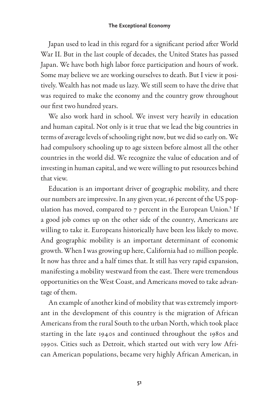#### **The Exceptional Economy**

Japan used to lead in this regard for a significant period after World War II. But in the last couple of decades, the United States has passed Japan. We have both high labor force participation and hours of work. Some may believe we are working ourselves to death. But I view it positively. Wealth has not made us lazy. We still seem to have the drive that was required to make the economy and the country grow throughout our first two hundred years.

We also work hard in school. We invest very heavily in education and human capital. Not only is it true that we lead the big countries in terms of average levels of schooling right now, but we did so early on. We had compulsory schooling up to age sixteen before almost all the other countries in the world did. We recognize the value of education and of investing in human capital, and we were willing to put resources behind that view.

Education is an important driver of geographic mobility, and there our numbers are impressive. In any given year, 16 percent of the US population has moved, compared to 7 percent in the European Union.<sup>5</sup> If a good job comes up on the other side of the country, Americans are willing to take it. Europeans historically have been less likely to move. And geographic mobility is an important determinant of economic growth. When I was growing up here, California had 10 million people. It now has three and a half times that. It still has very rapid expansion, manifesting a mobility westward from the east. There were tremendous opportunities on the West Coast, and Americans moved to take advantage of them.

An example of another kind of mobility that was extremely important in the development of this country is the migration of African Americans from the rural South to the urban North, which took place starting in the late 1940s and continued throughout the 1980s and 1990s. Cities such as Detroit, which started out with very low African American populations, became very highly African American, in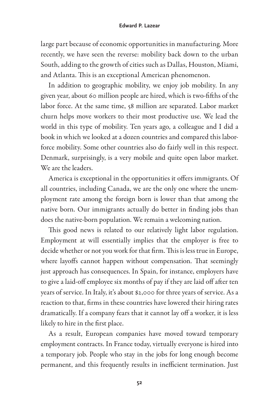## **Edward P. Lazear**

large part because of economic opportunities in manufacturing. More recently, we have seen the reverse: mobility back down to the urban South, adding to the growth of cities such as Dallas, Houston, Miami, and Atlanta. This is an exceptional American phenomenon.

In addition to geographic mobility, we enjoy job mobility. In any given year, about 60 million people are hired, which is two-fifths of the labor force. At the same time, 58 million are separated. Labor market churn helps move workers to their most productive use. We lead the world in this type of mobility. Ten years ago, a colleague and I did a book in which we looked at a dozen countries and compared this laborforce mobility. Some other countries also do fairly well in this respect. Denmark, surprisingly, is a very mobile and quite open labor market. We are the leaders.

America is exceptional in the opportunities it offers immigrants. Of all countries, including Canada, we are the only one where the unemployment rate among the foreign born is lower than that among the native born. Our immigrants actually do better in finding jobs than does the native-born population. We remain a welcoming nation.

This good news is related to our relatively light labor regulation. Employment at will essentially implies that the employer is free to decide whether or not you work for that firm. This is less true in Europe, where layoffs cannot happen without compensation. That seemingly just approach has consequences. In Spain, for instance, employers have to give a laid-off employee six months of pay if they are laid off after ten years of service. In Italy, it's about \$2,000 for three years of service. As a reaction to that, firms in these countries have lowered their hiring rates dramatically. If a company fears that it cannot lay off a worker, it is less likely to hire in the first place.

As a result, European companies have moved toward temporary employment contracts. In France today, virtually everyone is hired into a temporary job. People who stay in the jobs for long enough become permanent, and this frequently results in inefficient termination. Just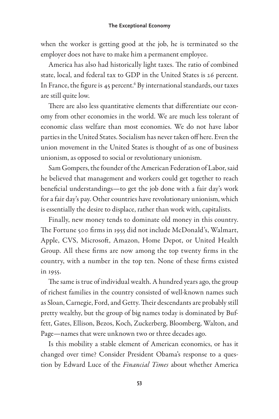when the worker is getting good at the job, he is terminated so the employer does not have to make him a permanent employee.

America has also had historically light taxes. The ratio of combined state, local, and federal tax to GDP in the United States is 26 percent. In France, the figure is 45 percent.<sup>6</sup> By international standards, our taxes are still quite low.

There are also less quantitative elements that differentiate our economy from other economies in the world. We are much less tolerant of economic class welfare than most economies. We do not have labor parties in the United States. Socialism has never taken off here. Even the union movement in the United States is thought of as one of business unionism, as opposed to social or revolutionary unionism.

Sam Gompers, the founder of the American Federation of Labor, said he believed that management and workers could get together to reach beneficial understandings—to get the job done with a fair day's work for a fair day's pay. Other countries have revolutionary unionism, which is essentially the desire to displace, rather than work with, capitalists.

Finally, new money tends to dominate old money in this country. The Fortune 500 firms in 1955 did not include McDonald's, Walmart, Apple, CVS, Microsoft, Amazon, Home Depot, or United Health Group. All these firms are now among the top twenty firms in the country, with a number in the top ten. None of these firms existed in 1955.

The same is true of individual wealth. A hundred years ago, the group of richest families in the country consisted of well-known names such as Sloan, Carnegie, Ford, and Getty. Their descendants are probably still pretty wealthy, but the group of big names today is dominated by Buffett, Gates, Ellison, Bezos, Koch, Zuckerberg, Bloomberg, Walton, and Page—names that were unknown two or three decades ago.

Is this mobility a stable element of American economics, or has it changed over time? Consider President Obama's response to a question by Edward Luce of the *Financial Times* about whether America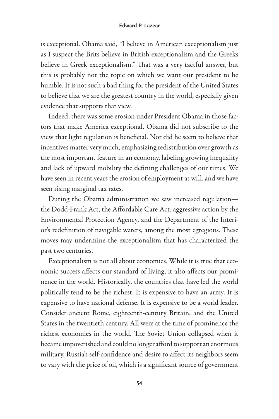is exceptional. Obama said, "I believe in American exceptionalism just as I suspect the Brits believe in British exceptionalism and the Greeks believe in Greek exceptionalism." That was a very tactful answer, but this is probably not the topic on which we want our president to be humble. It is not such a bad thing for the president of the United States to believe that we are the greatest country in the world, especially given evidence that supports that view.

Indeed, there was some erosion under President Obama in those factors that make America exceptional. Obama did not subscribe to the view that light regulation is beneficial. Nor did he seem to believe that incentives matter very much, emphasizing redistribution over growth as the most important feature in an economy, labeling growing inequality and lack of upward mobility the defining challenges of our times. We have seen in recent years the erosion of employment at will, and we have seen rising marginal tax rates.

During the Obama administration we saw increased regulation the Dodd-Frank Act, the Affordable Care Act, aggressive action by the Environmental Protection Agency, and the Department of the Interior's redefinition of navigable waters, among the most egregious. These moves may undermine the exceptionalism that has characterized the past two centuries.

Exceptionalism is not all about economics. While it is true that economic success affects our standard of living, it also affects our prominence in the world. Historically, the countries that have led the world politically tend to be the richest. It is expensive to have an army. It is expensive to have national defense. It is expensive to be a world leader. Consider ancient Rome, eighteenth- century Britain, and the United States in the twentieth century. All were at the time of prominence the richest economies in the world. The Soviet Union collapsed when it became impoverished and could no longer afford to support an enormous military. Russia's self-confidence and desire to affect its neighbors seem to vary with the price of oil, which is a significant source of government